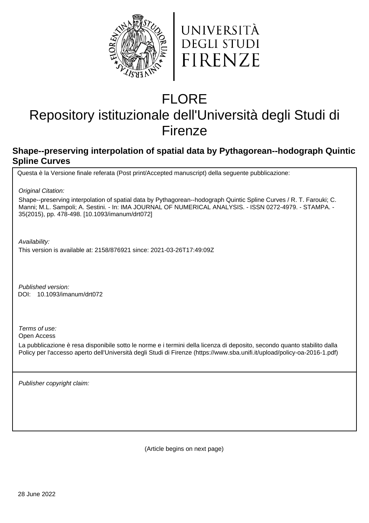



# FLORE

# Repository istituzionale dell'Università degli Studi di Firenze

# **Shape--preserving interpolation of spatial data by Pythagorean--hodograph Quintic Spline Curves**

Questa è la Versione finale referata (Post print/Accepted manuscript) della seguente pubblicazione:

Original Citation:

Shape--preserving interpolation of spatial data by Pythagorean--hodograph Quintic Spline Curves / R. T. Farouki; C. Manni; M.L. Sampoli; A. Sestini. - In: IMA JOURNAL OF NUMERICAL ANALYSIS. - ISSN 0272-4979. - STAMPA. - 35(2015), pp. 478-498. [10.1093/imanum/drt072]

Availability:

This version is available at: 2158/876921 since: 2021-03-26T17:49:09Z

Published version: 10.1093/imanum/drt072 DOI:

Terms of use:

Open Access

La pubblicazione è resa disponibile sotto le norme e i termini della licenza di deposito, secondo quanto stabilito dalla Policy per l'accesso aperto dell'Università degli Studi di Firenze (https://www.sba.unifi.it/upload/policy-oa-2016-1.pdf)

Publisher copyright claim:

(Article begins on next page)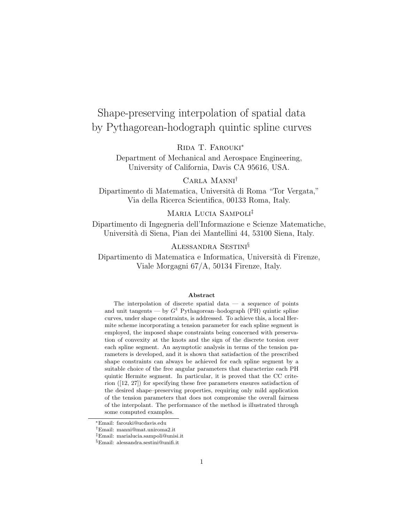# Shape-preserving interpolation of spatial data by Pythagorean-hodograph quintic spline curves

Rida T. Farouki<sup>∗</sup>

Department of Mechanical and Aerospace Engineering, University of California, Davis CA 95616, USA.

Carla Manni†

Dipartimento di Matematica, Università di Roma "Tor Vergata," Via della Ricerca Scientifica, 00133 Roma, Italy.

### Maria Lucia Sampoli‡

Dipartimento di Ingegneria dell'Informazione e Scienze Matematiche, Universit`a di Siena, Pian dei Mantellini 44, 53100 Siena, Italy.

### Alessandra Sestini§

Dipartimento di Matematica e Informatica, Università di Firenze, Viale Morgagni 67/A, 50134 Firenze, Italy.

#### Abstract

The interpolation of discrete spatial data  $-$  a sequence of points and unit tangents — by  $G^1$  Pythagorean–hodograph (PH) quintic spline curves, under shape constraints, is addressed. To achieve this, a local Hermite scheme incorporating a tension parameter for each spline segment is employed, the imposed shape constraints being concerned with preservation of convexity at the knots and the sign of the discrete torsion over each spline segment. An asymptotic analysis in terms of the tension parameters is developed, and it is shown that satisfaction of the prescribed shape constraints can always be achieved for each spline segment by a suitable choice of the free angular parameters that characterize each PH quintic Hermite segment. In particular, it is proved that the CC criterion ([12, 27]) for specifying these free parameters ensures satisfaction of the desired shape–preserving properties, requiring only mild application of the tension parameters that does not compromise the overall fairness of the interpolant. The performance of the method is illustrated through some computed examples.

<sup>∗</sup>Email: farouki@ucdavis.edu

<sup>†</sup>Email: manni@mat.uniroma2.it

<sup>‡</sup>Email: marialucia.sampoli@unisi.it

<sup>§</sup>Email: alessandra.sestini@unifi.it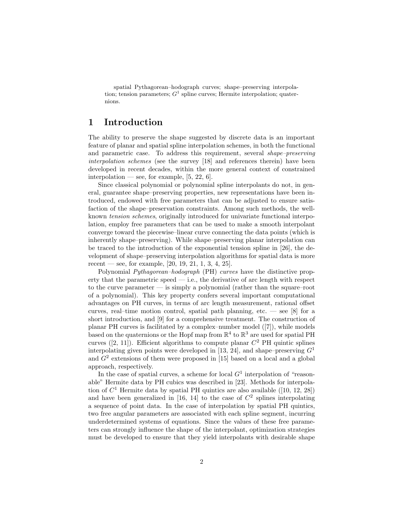spatial Pythagorean–hodograph curves; shape–preserving interpolation; tension parameters;  $G^1$  spline curves; Hermite interpolation; quaternions.

### 1 Introduction

The ability to preserve the shape suggested by discrete data is an important feature of planar and spatial spline interpolation schemes, in both the functional and parametric case. To address this requirement, several shape–preserving interpolation schemes (see the survey [18] and references therein) have been developed in recent decades, within the more general context of constrained interpolation — see, for example,  $[5, 22, 6]$ .

Since classical polynomial or polynomial spline interpolants do not, in general, guarantee shape–preserving properties, new representations have been introduced, endowed with free parameters that can be adjusted to ensure satisfaction of the shape–preservation constraints. Among such methods, the wellknown tension schemes, originally introduced for univariate functional interpolation, employ free parameters that can be used to make a smooth interpolant converge toward the piecewise–linear curve connecting the data points (which is inherently shape–preserving). While shape–preserving planar interpolation can be traced to the introduction of the exponential tension spline in [26], the development of shape–preserving interpolation algorithms for spatial data is more recent — see, for example,  $[20, 19, 21, 1, 3, 4, 25]$ .

Polynomial *Pythagorean–hodograph* (PH) curves have the distinctive property that the parametric speed  $-$  i.e., the derivative of arc length with respect to the curve parameter — is simply a polynomial (rather than the square–root of a polynomial). This key property confers several important computational advantages on PH curves, in terms of arc length measurement, rational offset curves, real–time motion control, spatial path planning, etc. — see  $[8]$  for a short introduction, and [9] for a comprehensive treatment. The construction of planar PH curves is facilitated by a complex–number model ([7]), while models based on the quaternions or the Hopf map from  $\mathbb{R}^4$  to  $\mathbb{R}^3$  are used for spatial PH curves ([2, 11]). Efficient algorithms to compute planar  $C^2$  PH quintic splines interpolating given points were developed in [13, 24], and shape–preserving  $G<sup>1</sup>$ and  $G<sup>2</sup>$  extensions of them were proposed in [15] based on a local and a global approach, respectively.

In the case of spatial curves, a scheme for local  $G<sup>1</sup>$  interpolation of "reasonable" Hermite data by PH cubics was described in [23]. Methods for interpolation of  $C<sup>1</sup>$  Hermite data by spatial PH quintics are also available ([10, 12, 28]) and have been generalized in [16, 14] to the case of  $C^2$  splines interpolating a sequence of point data. In the case of interpolation by spatial PH quintics, two free angular parameters are associated with each spline segment, incurring underdetermined systems of equations. Since the values of these free parameters can strongly influence the shape of the interpolant, optimization strategies must be developed to ensure that they yield interpolants with desirable shape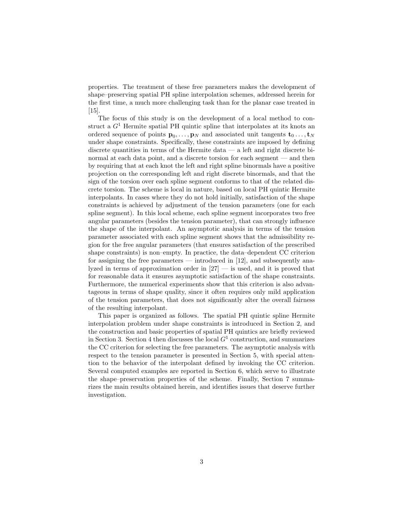properties. The treatment of these free parameters makes the development of shape–preserving spatial PH spline interpolation schemes, addressed herein for the first time, a much more challenging task than for the planar case treated in  $|15|$ .

The focus of this study is on the development of a local method to construct a  $G<sup>1</sup>$  Hermite spatial PH quintic spline that interpolates at its knots an ordered sequence of points  $\mathbf{p}_0, \ldots, \mathbf{p}_N$  and associated unit tangents  $\mathbf{t}_0 \ldots, \mathbf{t}_N$ under shape constraints. Specifically, these constraints are imposed by defining discrete quantities in terms of the Hermite data  $-$  a left and right discrete binormal at each data point, and a discrete torsion for each segment — and then by requiring that at each knot the left and right spline binormals have a positive projection on the corresponding left and right discrete binormals, and that the sign of the torsion over each spline segment conforms to that of the related discrete torsion. The scheme is local in nature, based on local PH quintic Hermite interpolants. In cases where they do not hold initially, satisfaction of the shape constraints is achieved by adjustment of the tension parameters (one for each spline segment). In this local scheme, each spline segment incorporates two free angular parameters (besides the tension parameter), that can strongly influence the shape of the interpolant. An asymptotic analysis in terms of the tension parameter associated with each spline segment shows that the admissibility region for the free angular parameters (that ensures satisfaction of the prescribed shape constraints) is non–empty. In practice, the data–dependent CC criterion for assigning the free parameters — introduced in [12], and subsequently analyzed in terms of approximation order in  $[27]$  — is used, and it is proved that for reasonable data it ensures asymptotic satisfaction of the shape constraints. Furthermore, the numerical experiments show that this criterion is also advantageous in terms of shape quality, since it often requires only mild application of the tension parameters, that does not significantly alter the overall fairness of the resulting interpolant.

This paper is organized as follows. The spatial PH quintic spline Hermite interpolation problem under shape constraints is introduced in Section 2, and the construction and basic properties of spatial PH quintics are briefly reviewed in Section 3. Section 4 then discusses the local  $G<sup>1</sup>$  construction, and summarizes the CC criterion for selecting the free parameters. The asymptotic analysis with respect to the tension parameter is presented in Section 5, with special attention to the behavior of the interpolant defined by invoking the CC criterion. Several computed examples are reported in Section 6, which serve to illustrate the shape–preservation properties of the scheme. Finally, Section 7 summarizes the main results obtained herein, and identifies issues that deserve further investigation.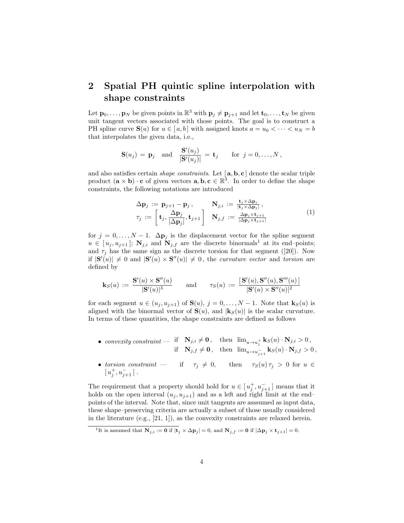## 2 Spatial PH quintic spline interpolation with shape constraints

Let  $\mathbf{p}_0, \ldots, \mathbf{p}_N$  be given points in  $\mathbb{R}^3$  with  $\mathbf{p}_j \neq \mathbf{p}_{j+1}$  and let  $\mathbf{t}_0, \ldots, \mathbf{t}_N$  be given unit tangent vectors associated with those points. The goal is to construct a PH spline curve  $S(u)$  for  $u \in [a, b]$  with assigned knots  $a = u_0 < \cdots < u_N = b$ that interpolates the given data, i.e.,

$$
\mathbf{S}(u_j) = \mathbf{p}_j \quad \text{and} \quad \frac{\mathbf{S}'(u_j)}{|\mathbf{S}'(u_j)|} = \mathbf{t}_j \quad \text{for } j = 0, \dots, N\,,
$$

and also satisfies certain *shape constraints*. Let  $[\mathbf{a}, \mathbf{b}, \mathbf{c}]$  denote the scalar triple product  $(\mathbf{a} \times \mathbf{b}) \cdot \mathbf{c}$  of given vectors  $\mathbf{a}, \mathbf{b}, \mathbf{c} \in \mathbb{R}^3$ . In order to define the shape constraints, the following notations are introduced

$$
\Delta \mathbf{p}_{j} := \mathbf{p}_{j+1} - \mathbf{p}_{j}, \qquad \mathbf{N}_{j,i} := \frac{\mathbf{t}_{j} \times \Delta \mathbf{p}_{j}}{|\mathbf{t}_{j} \times \Delta \mathbf{p}_{j}|}, \n\tau_{j} := \begin{bmatrix} \mathbf{t}_{j}, \frac{\Delta \mathbf{p}_{j}}{|\Delta \mathbf{p}_{j}|}, \mathbf{t}_{j+1} \end{bmatrix} \quad \mathbf{N}_{j,f} := \frac{\Delta \mathbf{p}_{j} \times \mathbf{t}_{j+1}}{|\Delta \mathbf{p}_{j} \times \mathbf{t}_{j+1}|}
$$
\n(1)

for  $j = 0, \ldots, N - 1$ .  $\Delta \mathbf{p}_j$  is the displacement vector for the spline segment  $u \in [u_i, u_{i+1}]$ ;  $N_{i,i}$  and  $N_{i,f}$  are the discrete binormals<sup>1</sup> at its end-points; and  $\tau_i$  has the same sign as the discrete torsion for that segment ([20]). Now if  $|\mathbf{S}'(u)| \neq 0$  and  $|\mathbf{S}'(u) \times \mathbf{S}''(u)| \neq 0$ , the curvature vector and torsion are defined by

$$
\mathbf{k}_S(u) \, := \, \frac{\mathbf{S}'(u) \times \mathbf{S}''(u)}{|\mathbf{S}'(u)|^3} \qquad \text{and} \qquad \tau_S(u) \, := \, \frac{[\,\mathbf{S}'(u), \mathbf{S}''(u), \mathbf{S}'''(u)\,]}{|\mathbf{S}'(u) \times \mathbf{S}''(u)|^2}
$$

for each segment  $u \in (u_j, u_{j+1})$  of  $\mathbf{S}(u)$ ,  $j = 0, \ldots, N-1$ . Note that  $\mathbf{k}_{S}(u)$  is aligned with the binormal vector of  $S(u)$ , and  $|k_S(u)|$  is the scalar curvature. In terms of these quantities, the shape constraints are defined as follows

- convexity constraint  $\qquad$  if  $\mathbf{N}_{j,i} \neq \mathbf{0}$ , then  $\lim_{u \to u_j^+} \mathbf{k}_S(u) \cdot \mathbf{N}_{j,i} > 0$ , if  $\mathbf{N}_{j,f} \neq \mathbf{0}$ , then  $\lim_{u \to u_{j+1}^-} \mathbf{k}_S(u) \cdot \mathbf{N}_{j,f} > 0$ ,
- torsion constraint if  $\tau_j \neq 0$ , then  $\tau_S(u) \tau_j > 0$  for  $u \in$  $[u_j^+, u_{j+1}^-]$ .

The requirement that a property should hold for  $u \in [u_j^+, u_{j+1}^-]$  means that it holds on the open interval  $(u_j, u_{j+1})$  and as a left and right limit at the end– points of the interval. Note that, since unit tangents are asssumed as input data, these shape–preserving criteria are actually a subset of those usually considered in the literature (e.g., [21, 1]), as the convexity constraints are relaxed herein.

<sup>&</sup>lt;sup>1</sup>It is assumed that  $N_{j,i} := 0$  if  $|\mathbf{t}_j \times \Delta \mathbf{p}_j| = 0$ , and  $N_{j,f} := 0$  if  $|\Delta \mathbf{p}_j \times \mathbf{t}_{j+1}| = 0$ .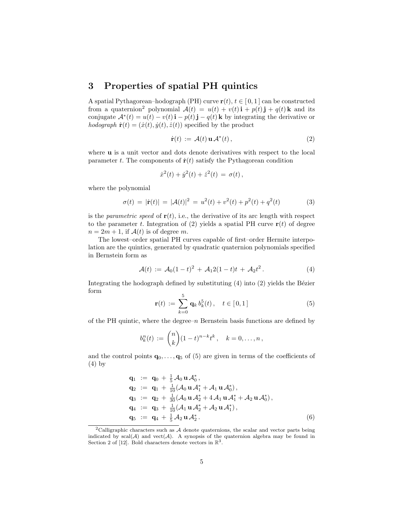### 3 Properties of spatial PH quintics

A spatial Pythagorean–hodograph (PH) curve  $r(t)$ ,  $t \in [0, 1]$  can be constructed from a quaternion<sup>2</sup> polynomial  $\mathcal{A}(t) = u(t) + v(t)\mathbf{i} + p(t)\mathbf{j} + q(t)\mathbf{k}$  and its conjugate  $\mathcal{A}^*(t) = u(t) - v(t) \mathbf{i} - p(t) \mathbf{j} - q(t) \mathbf{k}$  by integrating the derivative or hodograph  $\dot{\mathbf{r}}(t) = (\dot{x}(t), \dot{y}(t), \dot{z}(t))$  specified by the product

$$
\dot{\mathbf{r}}(t) := \mathcal{A}(t) \mathbf{u} \mathcal{A}^*(t), \qquad (2)
$$

where **u** is a unit vector and dots denote derivatives with respect to the local parameter t. The components of  $\dot{\mathbf{r}}(t)$  satisfy the Pythagorean condition

$$
\dot{x}^2(t) + \dot{y}^2(t) + \dot{z}^2(t) = \sigma(t),
$$

where the polynomial

$$
\sigma(t) = |\dot{\mathbf{r}}(t)| = |\mathcal{A}(t)|^2 = u^2(t) + v^2(t) + p^2(t) + q^2(t)
$$
\n(3)

is the *parametric speed* of  $r(t)$ , i.e., the derivative of its arc length with respect to the parameter t. Integration of (2) yields a spatial PH curve  $r(t)$  of degree  $n = 2m + 1$ , if  $\mathcal{A}(t)$  is of degree m.

The lowest–order spatial PH curves capable of first–order Hermite interpolation are the quintics, generated by quadratic quaternion polynomials specified in Bernstein form as

$$
\mathcal{A}(t) := \mathcal{A}_0(1-t)^2 + \mathcal{A}_1 2(1-t)t + \mathcal{A}_2 t^2.
$$
 (4)

Integrating the hodograph defined by substituting  $(4)$  into  $(2)$  yields the Bézier form

$$
\mathbf{r}(t) := \sum_{k=0}^{5} \mathbf{q}_k \, b_k^5(t), \quad t \in [0,1] \tag{5}
$$

of the PH quintic, where the degree– $n$  Bernstein basis functions are defined by

$$
b_k^n(t) := \binom{n}{k} (1-t)^{n-k} t^k, \quad k = 0, \dots, n\,,
$$

and the control points  $\mathbf{q}_0, \ldots, \mathbf{q}_5$  of (5) are given in terms of the coefficients of (4) by

$$
q_1 := q_0 + \frac{1}{5} \mathcal{A}_0 \mathbf{u} \mathcal{A}_0^*,
$$
  
\n
$$
q_2 := q_1 + \frac{1}{10} (\mathcal{A}_0 \mathbf{u} \mathcal{A}_1^* + \mathcal{A}_1 \mathbf{u} \mathcal{A}_0^*),
$$
  
\n
$$
q_3 := q_2 + \frac{1}{30} (\mathcal{A}_0 \mathbf{u} \mathcal{A}_2^* + 4 \mathcal{A}_1 \mathbf{u} \mathcal{A}_1^* + \mathcal{A}_2 \mathbf{u} \mathcal{A}_0^*),
$$
  
\n
$$
q_4 := q_3 + \frac{1}{10} (\mathcal{A}_1 \mathbf{u} \mathcal{A}_2^* + \mathcal{A}_2 \mathbf{u} \mathcal{A}_1^*),
$$
  
\n
$$
q_5 := q_4 + \frac{1}{5} \mathcal{A}_2 \mathbf{u} \mathcal{A}_2^*.
$$
  
\n(6)

<sup>&</sup>lt;sup>2</sup>Calligraphic characters such as  $A$  denote quaternions, the scalar and vector parts being indicated by  $\text{scal}(A)$  and  $\text{vect}(\mathcal{A})$ . A synopsis of the quaternion algebra may be found in Section 2 of [12]. Bold characters denote vectors in  $\mathbb{R}^3$ .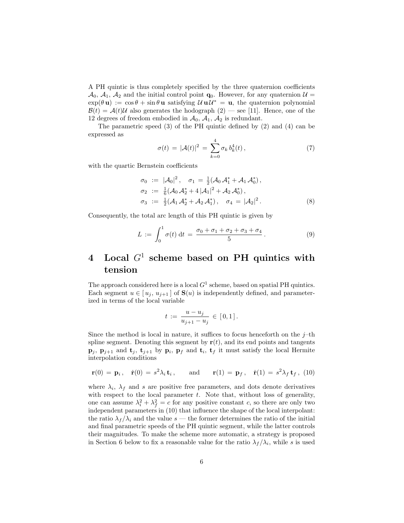A PH quintic is thus completely specified by the three quaternion coefficients  $\mathcal{A}_0$ ,  $\mathcal{A}_1$ ,  $\mathcal{A}_2$  and the initial control point  $\mathbf{q}_0$ . However, for any quaternion  $\mathcal{U} =$  $\exp(\theta \mathbf{u}) := \cos \theta + \sin \theta \mathbf{u}$  satisfying  $\mathcal{U} \mathbf{u} \mathcal{U}^* = \mathbf{u}$ , the quaternion polynomial  $\mathcal{B}(t) = \mathcal{A}(t)\mathcal{U}$  also generates the hodograph  $(2)$  — see [11]. Hence, one of the 12 degrees of freedom embodied in  $\mathcal{A}_0$ ,  $\mathcal{A}_1$ ,  $\mathcal{A}_2$  is redundant.

The parametric speed (3) of the PH quintic defined by (2) and (4) can be expressed as

$$
\sigma(t) = |\mathcal{A}(t)|^2 = \sum_{k=0}^4 \sigma_k b_k^4(t), \qquad (7)
$$

with the quartic Bernstein coefficients

$$
\sigma_0 := |\mathcal{A}_0|^2, \quad \sigma_1 = \frac{1}{2} (\mathcal{A}_0 \mathcal{A}_1^* + \mathcal{A}_1 \mathcal{A}_0^*), \n\sigma_2 := \frac{1}{6} (\mathcal{A}_0 \mathcal{A}_2^* + 4 |\mathcal{A}_1|^2 + \mathcal{A}_2 \mathcal{A}_0^*), \n\sigma_3 := \frac{1}{2} (\mathcal{A}_1 \mathcal{A}_2^* + \mathcal{A}_2 \mathcal{A}_1^*), \quad \sigma_4 = |\mathcal{A}_2|^2.
$$
\n(8)

Consequently, the total arc length of this PH quintic is given by

$$
L := \int_0^1 \sigma(t) dt = \frac{\sigma_0 + \sigma_1 + \sigma_2 + \sigma_3 + \sigma_4}{5}.
$$
 (9)

# 4 Local  $G^1$  scheme based on PH quintics with tension

The approach considered here is a local  $G<sup>1</sup>$  scheme, based on spatial PH quintics. Each segment  $u \in [u_j, u_{j+1}]$  of  $\mathbf{S}(u)$  is independently defined, and parameterized in terms of the local variable

$$
t := \frac{u - u_j}{u_{j+1} - u_j} \in [0, 1].
$$

Since the method is local in nature, it suffices to focus henceforth on the  $j$ –th spline segment. Denoting this segment by  $r(t)$ , and its end points and tangents  $\mathbf{p}_j$ ,  $\mathbf{p}_{j+1}$  and  $\mathbf{t}_j$ ,  $\mathbf{t}_{j+1}$  by  $\mathbf{p}_i$ ,  $\mathbf{p}_f$  and  $\mathbf{t}_i$ ,  $\mathbf{t}_f$  it must satisfy the local Hermite interpolation conditions

$$
\mathbf{r}(0) = \mathbf{p}_i, \quad \dot{\mathbf{r}}(0) = s^2 \lambda_i \mathbf{t}_i, \quad \text{and} \quad \mathbf{r}(1) = \mathbf{p}_f, \quad \dot{\mathbf{r}}(1) = s^2 \lambda_f \mathbf{t}_f, \tag{10}
$$

where  $\lambda_i$ ,  $\lambda_f$  and s are positive free parameters, and dots denote derivatives with respect to the local parameter  $t$ . Note that, without loss of generality, one can assume  $\lambda_i^2 + \lambda_f^2 = c$  for any positive constant c, so there are only two independent parameters in (10) that influence the shape of the local interpolant: the ratio  $\lambda_f/\lambda_i$  and the value s — the former determines the ratio of the initial and final parametric speeds of the PH quintic segment, while the latter controls their magnitudes. To make the scheme more automatic, a strategy is proposed in Section 6 below to fix a reasonable value for the ratio  $\lambda_f/\lambda_i$ , while s is used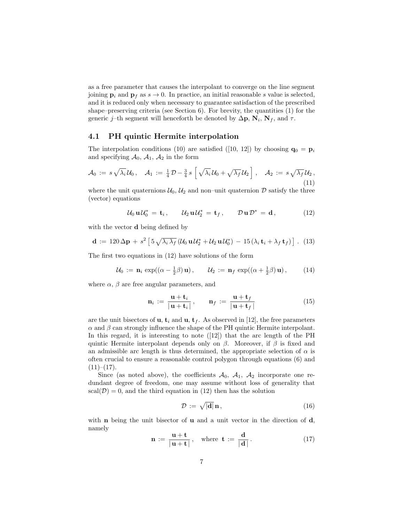as a free parameter that causes the interpolant to converge on the line segment joining  $\mathbf{p}_i$  and  $\mathbf{p}_f$  as  $s \to 0$ . In practice, an initial reasonable s value is selected, and it is reduced only when necessary to guarantee satisfaction of the prescribed shape–preserving criteria (see Section 6). For brevity, the quantities (1) for the generic j–th segment will henceforth be denoted by  $\Delta p$ ,  $N_i$ ,  $N_f$ , and  $\tau$ .

### 4.1 PH quintic Hermite interpolation

The interpolation conditions (10) are satisfied ([10, 12]) by choosing  $\mathbf{q}_0 = \mathbf{p}_i$ and specifying  $A_0$ ,  $A_1$ ,  $A_2$  in the form

$$
\mathcal{A}_0 := s \sqrt{\lambda_i} \mathcal{U}_0, \quad \mathcal{A}_1 := \tfrac{1}{4} \mathcal{D} - \tfrac{3}{4} s \left[ \sqrt{\lambda_i} \mathcal{U}_0 + \sqrt{\lambda_f} \mathcal{U}_2 \right], \quad \mathcal{A}_2 := s \sqrt{\lambda_f} \mathcal{U}_2,
$$
\n(11)

where the unit quaternions  $\mathcal{U}_0$ ,  $\mathcal{U}_2$  and non–unit quaternion  $\mathcal{D}$  satisfy the three (vector) equations

$$
\mathcal{U}_0 \mathbf{u} \mathcal{U}_0^* = \mathbf{t}_i, \qquad \mathcal{U}_2 \mathbf{u} \mathcal{U}_2^* = \mathbf{t}_f, \qquad \mathcal{D} \mathbf{u} \mathcal{D}^* = \mathbf{d}, \tag{12}
$$

with the vector d being defined by

$$
\mathbf{d} := 120 \Delta \mathbf{p} + s^2 \left[ 5 \sqrt{\lambda_i \lambda_f} \left( \mathcal{U}_0 \mathbf{u} \mathcal{U}_2^* + \mathcal{U}_2 \mathbf{u} \mathcal{U}_0^* \right) - 15 \left( \lambda_i \mathbf{t}_i + \lambda_f \mathbf{t}_f \right) \right]. \tag{13}
$$

The first two equations in (12) have solutions of the form

$$
\mathcal{U}_0 := \mathbf{n}_i \, \exp((\alpha - \frac{1}{2}\beta) \, \mathbf{u}), \qquad \mathcal{U}_2 := \mathbf{n}_f \, \exp((\alpha + \frac{1}{2}\beta) \, \mathbf{u}), \qquad (14)
$$

where  $\alpha$ ,  $\beta$  are free angular parameters, and

$$
\mathbf{n}_i := \frac{\mathbf{u} + \mathbf{t}_i}{|\mathbf{u} + \mathbf{t}_i|}, \qquad \mathbf{n}_f := \frac{\mathbf{u} + \mathbf{t}_f}{|\mathbf{u} + \mathbf{t}_f|}
$$
(15)

are the unit bisectors of **u**,  $\mathbf{t}_i$  and **u**,  $\mathbf{t}_f$ . As observed in [12], the free parameters  $\alpha$  and  $\beta$  can strongly influence the shape of the PH quintic Hermite interpolant. In this regard, it is interesting to note ([12]) that the arc length of the PH quintic Hermite interpolant depends only on  $\beta$ . Moreover, if  $\beta$  is fixed and an admissible arc length is thus determined, the appropriate selection of  $\alpha$  is often crucial to ensure a reasonable control polygon through equations (6) and  $(11)-(17)$ .

Since (as noted above), the coefficients  $A_0$ ,  $A_1$ ,  $A_2$  incorporate one redundant degree of freedom, one may assume without loss of generality that  $scal(\mathcal{D})=0$ , and the third equation in (12) then has the solution

$$
\mathcal{D} := \sqrt{|\mathbf{d}|} \, \mathbf{n} \,, \tag{16}
$$

with **n** being the unit bisector of **u** and a unit vector in the direction of  $\mathbf{d}$ , namely

$$
\mathbf{n} := \frac{\mathbf{u} + \mathbf{t}}{|\mathbf{u} + \mathbf{t}|}, \quad \text{where } \mathbf{t} := \frac{\mathbf{d}}{|\mathbf{d}|}. \tag{17}
$$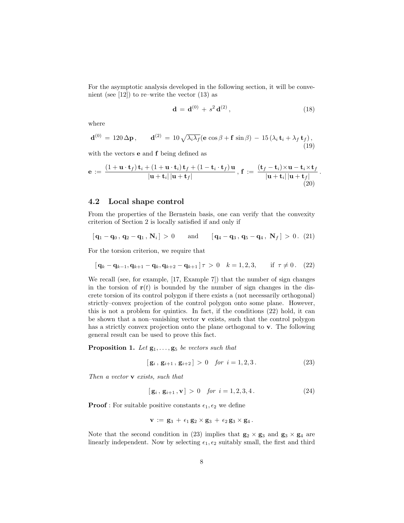For the asymptotic analysis developed in the following section, it will be convenient (see  $[12]$ ) to re–write the vector  $(13)$  as

$$
\mathbf{d} = \mathbf{d}^{(0)} + s^2 \mathbf{d}^{(2)}, \tag{18}
$$

.

where

$$
\mathbf{d}^{(0)} = 120 \Delta \mathbf{p}, \qquad \mathbf{d}^{(2)} = 10 \sqrt{\lambda_i \lambda_f} (\mathbf{e} \cos \beta + \mathbf{f} \sin \beta) - 15 (\lambda_i \mathbf{t}_i + \lambda_f \mathbf{t}_f),
$$
\n(19)

with the vectors **e** and **f** being defined as

$$
\mathbf{e} := \frac{(1+\mathbf{u}\cdot\mathbf{t}_f)\mathbf{t}_i + (1+\mathbf{u}\cdot\mathbf{t}_i)\mathbf{t}_f + (1-\mathbf{t}_i\cdot\mathbf{t}_f)\mathbf{u}}{|\mathbf{u}+\mathbf{t}_i||\mathbf{u}+\mathbf{t}_f|}, \ \mathbf{f} := \frac{(\mathbf{t}_f-\mathbf{t}_i)\times\mathbf{u}-\mathbf{t}_i\times\mathbf{t}_f}{|\mathbf{u}+\mathbf{t}_i||\mathbf{u}+\mathbf{t}_f|}
$$
(20)

#### 4.2 Local shape control

From the properties of the Bernstein basis, one can verify that the convexity criterion of Section 2 is locally satisfied if and only if

$$
[\mathbf{q}_1 - \mathbf{q}_0, \mathbf{q}_2 - \mathbf{q}_1, \mathbf{N}_i] > 0
$$
 and  $[\mathbf{q}_4 - \mathbf{q}_3, \mathbf{q}_5 - \mathbf{q}_4, \mathbf{N}_f] > 0.$  (21)

For the torsion criterion, we require that

$$
[\mathbf{q}_k - \mathbf{q}_{k-1}, \mathbf{q}_{k+1} - \mathbf{q}_k, \mathbf{q}_{k+2} - \mathbf{q}_{k+1}] \tau > 0 \quad k = 1, 2, 3, \quad \text{if } \tau \neq 0.
$$
 (22)

We recall (see, for example, [17, Example 7]) that the number of sign changes in the torsion of  $r(t)$  is bounded by the number of sign changes in the discrete torsion of its control polygon if there exists a (not necessarily orthogonal) strictly–convex projection of the control polygon onto some plane. However, this is not a problem for quintics. In fact, if the conditions (22) hold, it can be shown that a non–vanishing vector  $\bf{v}$  exists, such that the control polygon has a strictly convex projection onto the plane orthogonal to v. The following general result can be used to prove this fact.

**Proposition 1.** Let  $\mathbf{g}_1, \ldots, \mathbf{g}_5$  be vectors such that

$$
[g_i, g_{i+1}, g_{i+2}] > 0 \quad \text{for } i = 1, 2, 3. \tag{23}
$$

Then a vector **v** exists, such that

$$
[\mathbf{g}_i, \mathbf{g}_{i+1}, \mathbf{v}] > 0 \quad \text{for } i = 1, 2, 3, 4. \tag{24}
$$

**Proof**: For suitable positive constants  $\epsilon_1, \epsilon_2$  we define

$$
\mathbf{v} \, := \, \mathbf{g}_3 \, + \, \epsilon_1 \, \mathbf{g}_2 \times \mathbf{g}_3 \, + \, \epsilon_2 \, \mathbf{g}_3 \times \mathbf{g}_4 \, .
$$

Note that the second condition in (23) implies that  $g_2 \times g_3$  and  $g_3 \times g_4$  are linearly independent. Now by selecting  $\epsilon_1, \epsilon_2$  suitably small, the first and third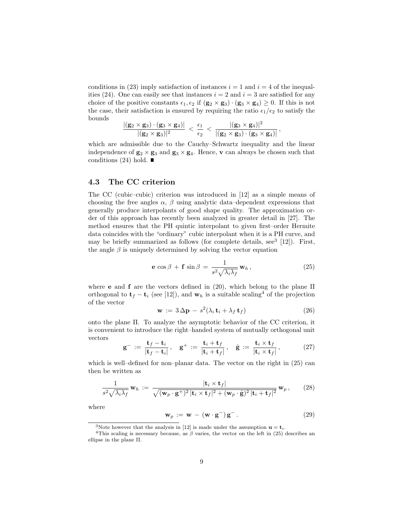conditions in (23) imply satisfaction of instances  $i = 1$  and  $i = 4$  of the inequalities (24). One can easily see that instances  $i = 2$  and  $i = 3$  are satisfied for any choice of the positive constants  $\epsilon_1, \epsilon_2$  if  $(g_2 \times g_3) \cdot (g_3 \times g_4) \geq 0$ . If this is not the case, their satisfaction is ensured by requiring the ratio  $\epsilon_1/\epsilon_2$  to satisfy the bounds

$$
\frac{|(\mathbf{g}_2 \times \mathbf{g}_3) \cdot (\mathbf{g}_3 \times \mathbf{g}_4)|}{|(\mathbf{g}_2 \times \mathbf{g}_3)|^2} \, < \, \frac{\epsilon_1}{\epsilon_2} \, < \, \frac{|(\mathbf{g}_3 \times \mathbf{g}_4)|^2}{|(\mathbf{g}_2 \times \mathbf{g}_3) \cdot (\mathbf{g}_3 \times \mathbf{g}_4)|} \, ,
$$

which are admissible due to the Cauchy–Schwartz inequality and the linear independence of  $g_2 \times g_3$  and  $g_3 \times g_4$ . Hence, **v** can always be chosen such that conditions (24) hold.  $\blacksquare$ 

### 4.3 The CC criterion

The CC (cubic–cubic) criterion was introduced in [12] as a simple means of choosing the free angles  $\alpha$ ,  $\beta$  using analytic data–dependent expressions that generally produce interpolants of good shape quality. The approximation order of this approach has recently been analyzed in greater detail in [27]. The method ensures that the PH quintic interpolant to given first–order Hermite data coincides with the "ordinary" cubic interpolant when it is a PH curve, and may be briefly summarized as follows (for complete details, see<sup>3</sup> [12]). First, the angle  $\beta$  is uniquely determined by solving the vector equation

$$
\mathbf{e} \cos \beta + \mathbf{f} \sin \beta = \frac{1}{s^2 \sqrt{\lambda_i \lambda_f}} \mathbf{w}_h, \qquad (25)
$$

where **e** and **f** are the vectors defined in (20), which belong to the plane  $\Pi$ orthogonal to  $\mathbf{t}_f - \mathbf{t}_i$  (see [12]), and  $\mathbf{w}_h$  is a suitable scaling<sup>4</sup> of the projection of the vector

$$
\mathbf{w} := 3\Delta \mathbf{p} - s^2 (\lambda_i \mathbf{t}_i + \lambda_f \mathbf{t}_f)
$$
 (26)

onto the plane Π. To analyze the asymptotic behavior of the CC criterion, it is convenient to introduce the right–handed system of mutually orthogonal unit vectors

$$
\mathbf{g}^- := \frac{\mathbf{t}_f - \mathbf{t}_i}{|\mathbf{t}_f - \mathbf{t}_i|}, \quad \mathbf{g}^+ := \frac{\mathbf{t}_i + \mathbf{t}_f}{|\mathbf{t}_i + \mathbf{t}_f|}, \quad \hat{\mathbf{g}} := \frac{\mathbf{t}_i \times \mathbf{t}_f}{|\mathbf{t}_i \times \mathbf{t}_f|}, \quad (27)
$$

which is well–defined for non–planar data. The vector on the right in  $(25)$  can then be written as

$$
\frac{1}{s^2 \sqrt{\lambda_i \lambda_f}} \mathbf{w}_h := \frac{|\mathbf{t}_i \times \mathbf{t}_f|}{\sqrt{(\mathbf{w}_p \cdot \mathbf{g}^+)^2 |\mathbf{t}_i \times \mathbf{t}_f|^2 + (\mathbf{w}_p \cdot \hat{\mathbf{g}})^2 |\mathbf{t}_i + \mathbf{t}_f|^2}} \mathbf{w}_p, \qquad (28)
$$

where

$$
\mathbf{w}_p := \mathbf{w} - (\mathbf{w} \cdot \mathbf{g}^-) \mathbf{g}^-.
$$
 (29)

<sup>&</sup>lt;sup>3</sup>Note however that the analysis in [12] is made under the assumption  $\mathbf{u} = \mathbf{t}_i$ .

<sup>&</sup>lt;sup>4</sup>This scaling is necessary because, as  $\beta$  varies, the vector on the left in (25) describes an ellipse in the plane  $\Pi.$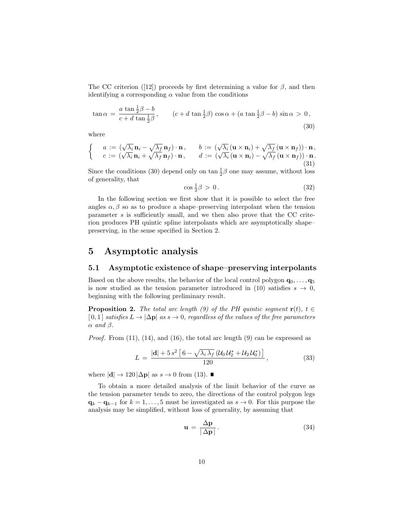The CC criterion ([12]) proceeds by first determining a value for  $\beta$ , and then identifying a corresponding  $\alpha$  value from the conditions

$$
\tan \alpha = \frac{a \tan \frac{1}{2}\beta - b}{c + d \tan \frac{1}{2}\beta}, \qquad (c + d \tan \frac{1}{2}\beta) \cos \alpha + (a \tan \frac{1}{2}\beta - b) \sin \alpha > 0,
$$
\n(30)

where

$$
\begin{cases}\n a := (\sqrt{\lambda_i} \mathbf{n}_i - \sqrt{\lambda_f} \mathbf{n}_f) \cdot \mathbf{n}, & b := (\sqrt{\lambda_i} (\mathbf{u} \times \mathbf{n}_i) + \sqrt{\lambda_f} (\mathbf{u} \times \mathbf{n}_f)) \cdot \mathbf{n}, \\
 c := (\sqrt{\lambda_i} \mathbf{n}_i + \sqrt{\lambda_f} \mathbf{n}_f) \cdot \mathbf{n}, & d := (\sqrt{\lambda_i} (\mathbf{u} \times \mathbf{n}_i) - \sqrt{\lambda_f} (\mathbf{u} \times \mathbf{n}_f)) \cdot \mathbf{n}.\n\end{cases}
$$
\n(31)

Since the conditions (30) depend only on  $\tan \frac{1}{2}\beta$  one may assume, without loss of generality, that

$$
\cos\frac{1}{2}\beta > 0. \tag{32}
$$

In the following section we first show that it is possible to select the free angles  $\alpha, \beta$  so as to produce a shape–preserving interpolant when the tension parameter s is sufficiently small, and we then also prove that the CC criterion produces PH quintic spline interpolants which are asymptotically shape– preserving, in the sense specified in Section 2.

### 5 Asymptotic analysis

#### 5.1 Asymptotic existence of shape–preserving interpolants

Based on the above results, the behavior of the local control polygon  $\mathbf{q}_0, \ldots, \mathbf{q}_5$ is now studied as the tension parameter introduced in (10) satisfies  $s \to 0$ , beginning with the following preliminary result.

**Proposition 2.** The total arc length (9) of the PH quintic segment  $\mathbf{r}(t)$ ,  $t \in$  $[0,1]$  satisfies  $L \to |\Delta \mathbf{p}|$  as  $s \to 0$ , regardless of the values of the free parameters  $\alpha$  and  $\beta$ .

*Proof.* From  $(11)$ ,  $(14)$ , and  $(16)$ , the total arc length  $(9)$  can be expressed as

$$
L = \frac{|\mathbf{d}| + 5 s^2 \left[ 6 - \sqrt{\lambda_i \lambda_f} \left( \mathcal{U}_0 \mathcal{U}_2^* + \mathcal{U}_2 \mathcal{U}_0^* \right) \right]}{120}, \qquad (33)
$$

where  $|\mathbf{d}| \rightarrow 120 |\Delta \mathbf{p}|$  as  $s \rightarrow 0$  from (13).

To obtain a more detailed analysis of the limit behavior of the curve as the tension parameter tends to zero, the directions of the control polygon legs  $\mathbf{q}_k - \mathbf{q}_{k-1}$  for  $k = 1, \ldots, 5$  must be investigated as  $s \to 0$ . For this purpose the analysis may be simplified, without loss of generality, by assuming that

$$
\mathbf{u} = \frac{\Delta \mathbf{p}}{|\Delta \mathbf{p}|}.
$$
 (34)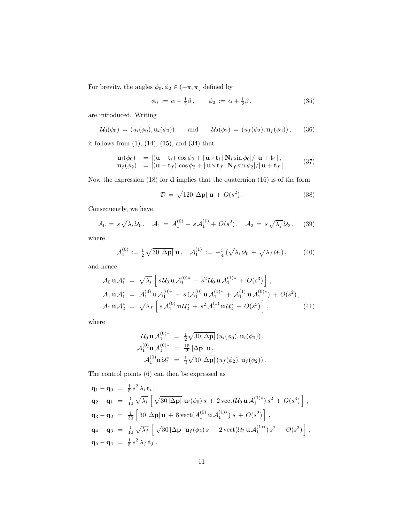For brevity, the angles  $\phi_0, \phi_2 \in (-\pi, \pi]$  defined by

$$
\phi_0 := \alpha - \frac{1}{2}\beta, \qquad \phi_2 := \alpha + \frac{1}{2}\beta,
$$
\n(35)

are introduced. Writing

$$
\mathcal{U}_0(\phi_0) = (u_i(\phi_0), \mathbf{u}_i(\phi_0)) \quad \text{and} \quad \mathcal{U}_2(\phi_2) = (u_f(\phi_2), \mathbf{u}_f(\phi_2)), \quad (36)
$$

it follows from (1), (14), (15), and (34) that

$$
\mathbf{u}_{i}(\phi_{0}) = [(\mathbf{u} + \mathbf{t}_{i}) \cos \phi_{0} + |\mathbf{u} \times \mathbf{t}_{i}| \mathbf{N}_{i} \sin \phi_{0}]/|\mathbf{u} + \mathbf{t}_{i}|,\n\mathbf{u}_{f}(\phi_{2}) = [(\mathbf{u} + \mathbf{t}_{f}) \cos \phi_{2} + |\mathbf{u} \times \mathbf{t}_{f}| \mathbf{N}_{f} \sin \phi_{2}]/|\mathbf{u} + \mathbf{t}_{f}|.
$$
\n(37)

Now the expression (18) for d implies that the quaternion (16) is of the form

$$
\mathcal{D} = \sqrt{120 |\Delta \mathbf{p}|} \mathbf{u} + O(s^2). \tag{38}
$$

Consequently, we have

$$
\mathcal{A}_0 = s\sqrt{\lambda_i} \mathcal{U}_0, \quad \mathcal{A}_1 = \mathcal{A}_1^{(0)} + s \mathcal{A}_1^{(1)} + O(s^2), \quad \mathcal{A}_2 = s\sqrt{\lambda_f} \mathcal{U}_2, \quad (39)
$$

where

$$
\mathcal{A}_1^{(0)} := \frac{1}{2} \sqrt{30 |\Delta \mathbf{p}|} \mathbf{u}, \quad \mathcal{A}_1^{(1)} := -\frac{3}{4} \left( \sqrt{\lambda_i} \mathcal{U}_0 + \sqrt{\lambda_f} \mathcal{U}_2 \right), \tag{40}
$$

and hence

$$
\mathcal{A}_0 \mathbf{u} \mathcal{A}_1^* = \sqrt{\lambda_i} \left[ s \mathcal{U}_0 \mathbf{u} \mathcal{A}_1^{(0)*} + s^2 \mathcal{U}_0 \mathbf{u} \mathcal{A}_1^{(1)*} + O(s^3) \right],
$$
  
\n
$$
\mathcal{A}_1 \mathbf{u} \mathcal{A}_1^* = \mathcal{A}_1^{(0)} \mathbf{u} \mathcal{A}_1^{(0)*} + s \left( \mathcal{A}_1^{(0)} \mathbf{u} \mathcal{A}_1^{(1)*} + \mathcal{A}_1^{(1)} \mathbf{u} \mathcal{A}_1^{(0)*} \right) + O(s^2),
$$
  
\n
$$
\mathcal{A}_1 \mathbf{u} \mathcal{A}_2^* = \sqrt{\lambda_f} \left[ s \mathcal{A}_1^{(0)} \mathbf{u} \mathcal{U}_2^* + s^2 \mathcal{A}_1^{(1)} \mathbf{u} \mathcal{U}_2^* + O(s^3) \right],
$$
\n(41)

where

$$
U_0 \mathbf{u} \mathcal{A}_1^{(0)*} = \frac{1}{2} \sqrt{30 |\Delta \mathbf{p}|} (u_i(\phi_0), \mathbf{u}_i(\phi_0)),
$$
  

$$
\mathcal{A}_1^{(0)} \mathbf{u} \mathcal{A}_1^{(0)*} = \frac{15}{2} |\Delta \mathbf{p}| \mathbf{u},
$$
  

$$
\mathcal{A}_1^{(0)} \mathbf{u} \mathcal{U}_2^* = \frac{1}{2} \sqrt{30 |\Delta \mathbf{p}|} (u_f(\phi_2), \mathbf{u}_f(\phi_2)).
$$

The control points (6) can then be expressed as

$$
\mathbf{q}_{1} - \mathbf{q}_{0} = \frac{1}{5} s^{2} \lambda_{i} \mathbf{t}_{i},
$$
\n
$$
\mathbf{q}_{2} - \mathbf{q}_{1} = \frac{1}{10} \sqrt{\lambda_{i}} \left[ \sqrt{30 |\Delta \mathbf{p}|} \mathbf{u}_{i}(\phi_{0}) s + 2 \operatorname{vect}(\mathcal{U}_{0} \mathbf{u} \mathcal{A}_{1}^{(1)*}) s^{2} + O(s^{3}) \right],
$$
\n
$$
\mathbf{q}_{3} - \mathbf{q}_{2} = \frac{1}{30} \left[ 30 |\Delta \mathbf{p}| \mathbf{u} + 8 \operatorname{vect}(\mathcal{A}_{1}^{(0)} \mathbf{u} \mathcal{A}_{1}^{(1)*}) s + O(s^{2}) \right],
$$
\n
$$
\mathbf{q}_{4} - \mathbf{q}_{3} = \frac{1}{10} \sqrt{\lambda_{f}} \left[ \sqrt{30 |\Delta \mathbf{p}|} \mathbf{u}_{f}(\phi_{2}) s + 2 \operatorname{vect}(\mathcal{U}_{2} \mathbf{u} \mathcal{A}_{1}^{(1)*}) s^{2} + O(s^{3}) \right],
$$
\n
$$
\mathbf{q}_{5} - \mathbf{q}_{4} = \frac{1}{5} s^{2} \lambda_{f} \mathbf{t}_{f}.
$$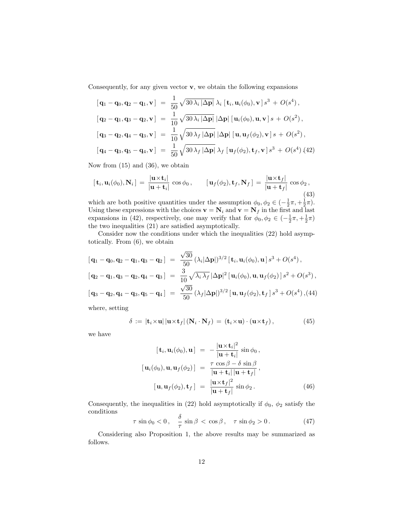Consequently, for any given vector  $\mathbf{v}$ , we obtain the following expansions

$$
\begin{aligned}\n\left[\mathbf{q}_{1}-\mathbf{q}_{0},\mathbf{q}_{2}-\mathbf{q}_{1},\mathbf{v}\right] &= \frac{1}{50} \sqrt{30 \,\lambda_{i} \, |\Delta \mathbf{p}|} \,\lambda_{i} \left[\mathbf{t}_{i},\mathbf{u}_{i}(\phi_{0}),\mathbf{v}\right] s^{3} + O(s^{4}), \\
\left[\mathbf{q}_{2}-\mathbf{q}_{1},\mathbf{q}_{3}-\mathbf{q}_{2},\mathbf{v}\right] &= \frac{1}{10} \sqrt{30 \,\lambda_{i} \, |\Delta \mathbf{p}|} \, |\Delta \mathbf{p}| \left[\mathbf{u}_{i}(\phi_{0}),\mathbf{u},\mathbf{v}\right] s + O(s^{2}), \\
\left[\mathbf{q}_{3}-\mathbf{q}_{2},\mathbf{q}_{4}-\mathbf{q}_{3},\mathbf{v}\right] &= \frac{1}{10} \sqrt{30 \,\lambda_{f} \, |\Delta \mathbf{p}|} \, |\Delta \mathbf{p}| \left[\mathbf{u},\mathbf{u}_{f}(\phi_{2}),\mathbf{v}\right] s + O(s^{2}), \\
\left[\mathbf{q}_{4}-\mathbf{q}_{3},\mathbf{q}_{5}-\mathbf{q}_{4},\mathbf{v}\right] &= \frac{1}{50} \sqrt{30 \,\lambda_{f} \, |\Delta \mathbf{p}|} \,\lambda_{f} \left[\mathbf{u}_{f}(\phi_{2}),\mathbf{t}_{f},\mathbf{v}\right] s^{3} + O(s^{4}) \, (42)\n\end{aligned}
$$

Now from (15) and (36), we obtain

$$
[\mathbf{t}_i, \mathbf{u}_i(\phi_0), \mathbf{N}_i] = \frac{|\mathbf{u} \times \mathbf{t}_i|}{|\mathbf{u} + \mathbf{t}_i|} \cos \phi_0, \qquad [\mathbf{u}_f(\phi_2), \mathbf{t}_f, \mathbf{N}_f] = \frac{|\mathbf{u} \times \mathbf{t}_f|}{|\mathbf{u} + \mathbf{t}_f|} \cos \phi_2,
$$
\n(43)

which are both positive quantities under the assumption  $\phi_0, \phi_2 \in (-\frac{1}{2}\pi, +\frac{1}{2}\pi)$ . Using these expressions with the choices  $\mathbf{v} = \mathbf{N}_i$  and  $\mathbf{v} = \mathbf{N}_f$  in the first and last expansions in (42), respectively, one may verify that for  $\phi_0, \phi_2 \in (-\frac{1}{2}\pi, +\frac{1}{2}\pi)$ the two inequalities (21) are satisfied asymptotically.

Consider now the conditions under which the inequalities (22) hold asymptotically. From (6), we obtain

$$
\begin{aligned}\n\left[\mathbf{q}_{1}-\mathbf{q}_{0},\mathbf{q}_{2}-\mathbf{q}_{1},\mathbf{q}_{3}-\mathbf{q}_{2}\right] &= \frac{\sqrt{30}}{50} \left(\lambda_{i} |\Delta \mathbf{p}| \right)^{3/2} \left[\mathbf{t}_{i},\mathbf{u}_{i}(\phi_{0}),\mathbf{u}\right] s^{3} + O(s^{4}), \\
\left[\mathbf{q}_{2}-\mathbf{q}_{1},\mathbf{q}_{3}-\mathbf{q}_{2},\mathbf{q}_{4}-\mathbf{q}_{3}\right] &= \frac{3}{10} \sqrt{\lambda_{i} \lambda_{f}} |\Delta \mathbf{p}|^{2} \left[\mathbf{u}_{i}(\phi_{0}),\mathbf{u},\mathbf{u}_{f}(\phi_{2})\right] s^{2} + O(s^{3}), \\
\left[\mathbf{q}_{3}-\mathbf{q}_{2},\mathbf{q}_{4}-\mathbf{q}_{3},\mathbf{q}_{5}-\mathbf{q}_{4}\right] &= \frac{\sqrt{30}}{50} \left(\lambda_{f} |\Delta \mathbf{p}| \right)^{3/2} \left[\mathbf{u},\mathbf{u}_{f}(\phi_{2}),\mathbf{t}_{f}\right] s^{3} + O(s^{4}),\n\end{aligned}
$$

where, setting

$$
\delta := |\mathbf{t}_i \times \mathbf{u}| |\mathbf{u} \times \mathbf{t}_f| (\mathbf{N}_i \cdot \mathbf{N}_f) = (\mathbf{t}_i \times \mathbf{u}) \cdot (\mathbf{u} \times \mathbf{t}_f), \tag{45}
$$

we have

$$
[\mathbf{t}_i, \mathbf{u}_i(\phi_0), \mathbf{u}] = -\frac{|\mathbf{u} \times \mathbf{t}_i|^2}{|\mathbf{u} + \mathbf{t}_i|} \sin \phi_0,
$$
  

$$
[\mathbf{u}_i(\phi_0), \mathbf{u}, \mathbf{u}_f(\phi_2)] = \frac{\tau \cos \beta - \delta \sin \beta}{|\mathbf{u} + \mathbf{t}_i| |\mathbf{u} + \mathbf{t}_f|},
$$
  

$$
[\mathbf{u}, \mathbf{u}_f(\phi_2), \mathbf{t}_f] = \frac{|\mathbf{u} \times \mathbf{t}_f|^2}{|\mathbf{u} + \mathbf{t}_f|} \sin \phi_2.
$$
 (46)

Consequently, the inequalities in (22) hold asymptotically if  $\phi_0$ ,  $\phi_2$  satisfy the conditions

$$
\tau \sin \phi_0 < 0 \,, \quad \frac{\delta}{\tau} \sin \beta < \cos \beta \,, \quad \tau \sin \phi_2 > 0 \,. \tag{47}
$$

Considering also Proposition 1, the above results may be summarized as follows.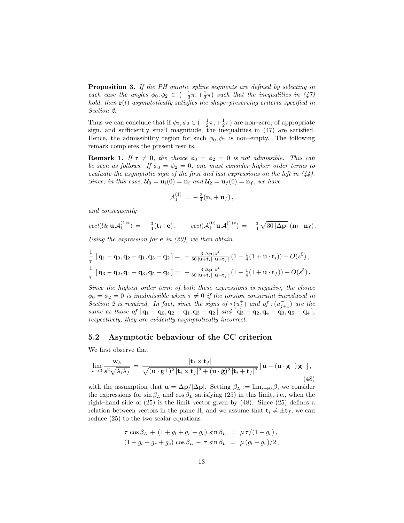Proposition 3. If the PH quintic spline segments are defined by selecting in each case the angles  $\phi_0, \phi_2 \in (-\frac{1}{2}\pi, +\frac{1}{2}\pi)$  such that the inequalities in (47) hold, then  $\mathbf{r}(t)$  asymptotically satisfies the shape–preserving criteria specified in Section 2.

Thus we can conclude that if  $\phi_0, \phi_2 \in (-\frac{1}{2}\pi, +\frac{1}{2}\pi)$  are non-zero, of appropriate sign, and sufficiently small magnitude, the inequalities in (47) are satisfied. Hence, the admissibility region for such  $\phi_0, \phi_2$  is non–empty. The following remark completes the present results.

**Remark 1.** If  $\tau \neq 0$ , the choice  $\phi_0 = \phi_2 = 0$  is not admissible. This can be seen as follows. If  $\phi_0 = \phi_2 = 0$ , one must consider higher-order terms to evaluate the asymptotic sign of the first and last expressions on the left in  $(44)$ . Since, in this case,  $U_0 = \mathbf{u}_i(0) = \mathbf{n}_i$  and  $U_2 = \mathbf{u}_f(0) = \mathbf{n}_f$ , we have

$$
\mathcal{A}_1^{(1)}\,=\,-\tfrac{3}{4}(\mathbf{n}_i+\mathbf{n}_f)\,,
$$

and consequently

$$
vect(\mathcal{U}_0 \mathbf{u} \mathcal{A}_1^{(1)*}) = -\frac{3}{4}(\mathbf{t}_i + \mathbf{e}), \qquad vect(\mathcal{A}_1^{(0)} \mathbf{u} \mathcal{A}_1^{(1)*}) = -\frac{3}{4} \sqrt{30 |\Delta \mathbf{p}|} (\mathbf{n}_i + \mathbf{n}_f).
$$

Using the expression for  $e$  in (20), we then obtain

$$
\frac{1}{\tau} [\mathbf{q}_1 - \mathbf{q}_0, \mathbf{q}_2 - \mathbf{q}_1, \mathbf{q}_3 - \mathbf{q}_2] = -\frac{3|\Delta \mathbf{p}| s^4}{50 |\mathbf{u} + \mathbf{t}_i| |\mathbf{u} + \mathbf{t}_f|} (1 - \frac{1}{4}(1 + \mathbf{u} \cdot \mathbf{t}_i)) + O(s^5),
$$
  

$$
\frac{1}{\tau} [\mathbf{q}_3 - \mathbf{q}_2, \mathbf{q}_4 - \mathbf{q}_3, \mathbf{q}_5 - \mathbf{q}_4] = -\frac{3|\Delta \mathbf{p}| s^4}{50 |\mathbf{u} + \mathbf{t}_i| |\mathbf{u} + \mathbf{t}_f|} (1 - \frac{1}{4}(1 + \mathbf{u} \cdot \mathbf{t}_f)) + O(s^5).
$$

Since the highest order term of both these expressions is negative, the choice  $\phi_0 = \phi_2 = 0$  is inadmissible when  $\tau \neq 0$  if the torsion constraint introduced in Section 2 is required. In fact, since the signs of  $\tau(u_j^+)$  and of  $\tau(u_{j+1}^-)$  are the same as those of  $[q_1 - q_0, q_2 - q_1, q_3 - q_2]$  and  $[q_3 - q_2, q_4 - q_3, q_5 - q_4]$ , respectively, they are evidently asymptotically incorrect.

#### 5.2 Asymptotic behaviour of the CC criterion

We first observe that

$$
\lim_{s \to 0} \frac{\mathbf{w}_h}{s^2 \sqrt{\lambda_i \lambda_f}} = \frac{|\mathbf{t}_i \times \mathbf{t}_f|}{\sqrt{(\mathbf{u} \cdot \mathbf{g}^+)^2 |\mathbf{t}_i \times \mathbf{t}_f|^2 + (\mathbf{u} \cdot \hat{\mathbf{g}})^2 |\mathbf{t}_i + \mathbf{t}_f|^2}} \left[ \mathbf{u} - (\mathbf{u} \cdot \mathbf{g}^-) \mathbf{g}^- \right],\tag{48}
$$

with the assumption that  $\mathbf{u} = \Delta \mathbf{p}/|\Delta \mathbf{p}|$ . Setting  $\beta_L := \lim_{s\to 0} \beta$ , we consider the expressions for  $\sin \beta_L$  and  $\cos \beta_L$  satisfying (25) in this limit, i.e., when the right–hand side of (25) is the limit vector given by (48). Since (25) defines a relation between vectors in the plane Π, and we assume that  $\mathbf{t}_i \neq \pm \mathbf{t}_f$ , we can reduce (25) to the two scalar equations

$$
\tau \cos \beta_L + (1 + g_l + g_r + g_c) \sin \beta_L = \mu \tau / (1 - g_c), (1 + g_l + g_r + g_c) \cos \beta_L - \tau \sin \beta_L = \mu (g_l + g_r) / 2,
$$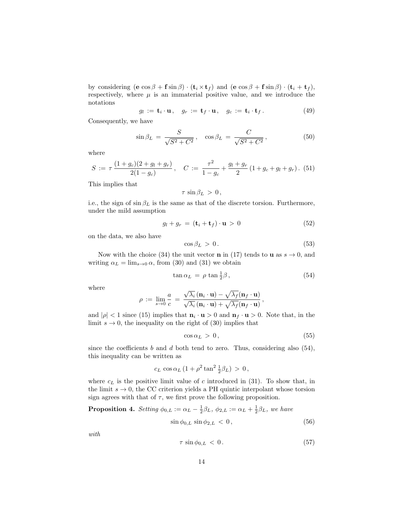by considering  $(\mathbf{e} \cos \beta + \mathbf{f} \sin \beta) \cdot (\mathbf{t}_i \times \mathbf{t}_f)$  and  $(\mathbf{e} \cos \beta + \mathbf{f} \sin \beta) \cdot (\mathbf{t}_i + \mathbf{t}_f)$ , respectively, where  $\mu$  is an immaterial positive value, and we introduce the notations

$$
g_l := \mathbf{t}_i \cdot \mathbf{u}, \quad g_r := \mathbf{t}_f \cdot \mathbf{u}, \quad g_c := \mathbf{t}_i \cdot \mathbf{t}_f. \tag{49}
$$

Consequently, we have

$$
\sin \beta_L = \frac{S}{\sqrt{S^2 + C^2}}, \quad \cos \beta_L = \frac{C}{\sqrt{S^2 + C^2}}, \tag{50}
$$

where

$$
S := \tau \, \frac{(1+g_c)(2+g_l+g_r)}{2(1-g_c)}, \quad C := \frac{\tau^2}{1-g_c} + \frac{g_l+g_r}{2} \left(1+g_c+g_l+g_r\right). \tag{51}
$$

This implies that

$$
\tau \, \sin \beta_L \, > \, 0 \, ,
$$

i.e., the sign of  $\sin \beta_L$  is the same as that of the discrete torsion. Furthermore, under the mild assumption

$$
g_l + g_r = (\mathbf{t}_i + \mathbf{t}_f) \cdot \mathbf{u} > 0 \tag{52}
$$

on the data, we also have

$$
\cos \beta_L > 0. \tag{53}
$$

Now with the choice (34) the unit vector **n** in (17) tends to **u** as  $s \to 0$ , and writing  $\alpha_L = \lim_{s\to 0} \alpha$ , from (30) and (31) we obtain

$$
\tan \alpha_L = \rho \tan \frac{1}{2}\beta, \qquad (54)
$$

where

$$
\rho := \lim_{s \to 0} \frac{a}{c} = \frac{\sqrt{\lambda_i} (\mathbf{n}_i \cdot \mathbf{u}) - \sqrt{\lambda_f} (\mathbf{n}_f \cdot \mathbf{u})}{\sqrt{\lambda_i} (\mathbf{n}_i \cdot \mathbf{u}) + \sqrt{\lambda_f} (\mathbf{n}_f \cdot \mathbf{u})},
$$

and  $|\rho| < 1$  since (15) implies that  $\mathbf{n}_i \cdot \mathbf{u} > 0$  and  $\mathbf{n}_f \cdot \mathbf{u} > 0$ . Note that, in the limit  $s \to 0$ , the inequality on the right of (30) implies that

$$
\cos \alpha_L > 0, \tag{55}
$$

since the coefficients  $b$  and  $d$  both tend to zero. Thus, considering also (54), this inequality can be written as

$$
c_L \cos \alpha_L \left(1 + \rho^2 \tan^2 \frac{1}{2} \beta_L \right) > 0,
$$

where  $c<sub>L</sub>$  is the positive limit value of c introduced in (31). To show that, in the limit  $s \to 0$ , the CC criterion yields a PH quintic interpolant whose torsion sign agrees with that of  $\tau$ , we first prove the following proposition.

**Proposition 4.** Setting  $\phi_{0,L} := \alpha_L - \frac{1}{2}\beta_L$ ,  $\phi_{2,L} := \alpha_L + \frac{1}{2}\beta_L$ , we have

$$
\sin \phi_{0,L} \sin \phi_{2,L} < 0 \,, \tag{56}
$$

with

$$
\tau \sin \phi_{0,L} < 0. \tag{57}
$$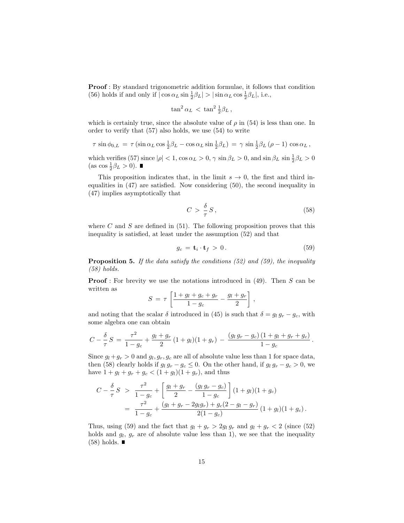Proof : By standard trigonometric addition formulae, it follows that condition (56) holds if and only if  $|\cos \alpha_L \sin \frac{1}{2} \beta_L| > |\sin \alpha_L \cos \frac{1}{2} \beta_L|$ , i.e.,

$$
\tan^2 \alpha_L \, < \, \tan^2 \frac{1}{2} \beta_L \, ,
$$

which is certainly true, since the absolute value of  $\rho$  in (54) is less than one. In order to verify that (57) also holds, we use (54) to write

$$
\tau \sin \phi_{0,L} = \tau \left( \sin \alpha_L \cos \frac{1}{2} \beta_L - \cos \alpha_L \sin \frac{1}{2} \beta_L \right) = \gamma \sin \frac{1}{2} \beta_L (\rho - 1) \cos \alpha_L,
$$

which verifies (57) since  $|\rho| < 1$ ,  $\cos \alpha_L > 0$ ,  $\gamma \sin \beta_L > 0$ , and  $\sin \beta_L \sin \frac{1}{2}\beta_L > 0$ (as  $\cos \frac{1}{2}\beta_L > 0$ ).

This proposition indicates that, in the limit  $s \to 0$ , the first and third inequalities in (47) are satisfied. Now considering (50), the second inequality in (47) implies asymptotically that

$$
C > \frac{\delta}{\tau} S, \tag{58}
$$

where C and S are defined in  $(51)$ . The following proposition proves that this inequality is satisfied, at least under the assumption (52) and that

$$
g_c = \mathbf{t}_i \cdot \mathbf{t}_f > 0. \tag{59}
$$

Proposition 5. If the data satisfy the conditions (52) and (59), the inequality (58) holds.

**Proof**: For brevity we use the notations introduced in  $(49)$ . Then S can be written as

$$
S = \tau \left[ \frac{1+g_l+g_c+g_r}{1-g_c} - \frac{g_l+g_r}{2} \right],
$$

and noting that the scalar  $\delta$  introduced in (45) is such that  $\delta = g_l g_r - g_c$ , with some algebra one can obtain

$$
C - \frac{\delta}{\tau} S = \frac{\tau^2}{1 - g_c} + \frac{g_l + g_r}{2} (1 + g_l)(1 + g_r) - \frac{(g_l g_r - g_c)(1 + g_l + g_r + g_c)}{1 - g_c}.
$$

Since  $g_l + g_r > 0$  and  $g_l, g_r, g_c$  are all of absolute value less than 1 for space data, then (58) clearly holds if  $g_l g_r - g_c \leq 0$ . On the other hand, if  $g_l g_r - g_c > 0$ , we have  $1 + g_l + g_r + g_c < (1 + g_l)(1 + g_r)$ , and thus

$$
C - \frac{\delta}{\tau} S > \frac{\tau^2}{1 - g_c} + \left[ \frac{g_l + g_r}{2} - \frac{(g_l g_r - g_c)}{1 - g_c} \right] (1 + g_l)(1 + g_c)
$$
  
= 
$$
\frac{\tau^2}{1 - g_c} + \frac{(g_l + g_r - 2g_l g_r) + g_c(2 - g_l - g_r)}{2(1 - g_c)} (1 + g_l)(1 + g_c).
$$

Thus, using (59) and the fact that  $g_l + g_r > 2g_l g_r$  and  $g_l + g_r < 2$  (since (52) holds and  $g_l$ ,  $g_r$  are of absolute value less than 1), we see that the inequality  $(58)$  holds.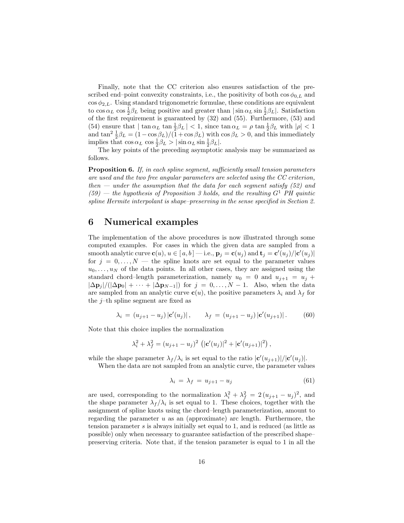Finally, note that the CC criterion also ensures satisfaction of the prescribed end–point convexity constraints, i.e., the positivity of both  $\cos \phi_{0,L}$  and  $\cos \phi_{2,L}$ . Using standard trigonometric formulae, these conditions are equivalent to  $\cos \alpha_L \cos \frac{1}{2}\beta_L$  being positive and greater than  $|\sin \alpha_L \sin \frac{1}{2}\beta_L|$ . Satisfaction of the first requirement is guaranteed by (32) and (55). Furthermore, (53) and (54) ensure that  $|\tan \alpha_L \tan \frac{1}{2}\beta_L| < 1$ , since  $\tan \alpha_L = \rho \tan \frac{1}{2}\beta_L$  with  $|\rho| < 1$ and  $\tan^2 \frac{1}{2}\beta_L = (1 - \cos \beta_L)/(\tilde{1} + \cos \beta_L)$  with  $\cos \beta_L > 0$ , and this immediately implies that  $\cos \alpha_L \cos \frac{1}{2}\beta_L > |\sin \alpha_L \sin \frac{1}{2}\beta_L|.$ 

The key points of the preceding asymptotic analysis may be summarized as follows.

Proposition 6. If, in each spline segment, sufficiently small tension parameters are used and the two free angular parameters are selected using the CC criterion, then  $-$  under the assumption that the data for each segment satisfy  $(52)$  and  $(59)$  — the hypothesis of Proposition 3 holds, and the resulting  $G<sup>1</sup>$  PH quintic spline Hermite interpolant is shape–preserving in the sense specified in Section 2.

### 6 Numerical examples

The implementation of the above procedures is now illustrated through some computed examples. For cases in which the given data are sampled from a smooth analytic curve  $\mathbf{c}(u), u \in [a, b]$  — i.e.,  $\mathbf{p}_j = \mathbf{c}(u_j)$  and  $\mathbf{t}_j = \mathbf{c}'(u_j)/|\mathbf{c}'(u_j)|$ for  $j = 0, \ldots, N$  — the spline knots are set equal to the parameter values  $u_0, \ldots, u_N$  of the data points. In all other cases, they are assigned using the standard chord–length parameterization, namely  $u_0 = 0$  and  $u_{i+1} = u_i +$  $|\Delta \mathbf{p}_j|/(|\Delta \mathbf{p}_0| + \cdots + |\Delta \mathbf{p}_{N-1}|)$  for  $j = 0, \ldots, N-1$ . Also, when the data are sampled from an analytic curve  $c(u)$ , the positive parameters  $\lambda_i$  and  $\lambda_f$  for the  $j$ -th spline segment are fixed as

$$
\lambda_i = (u_{j+1} - u_j) | \mathbf{c}'(u_j) |, \qquad \lambda_f = (u_{j+1} - u_j) | \mathbf{c}'(u_{j+1}) |.
$$
 (60)

Note that this choice implies the normalization

$$
\lambda_i^2 + \lambda_f^2 = (u_{j+1} - u_j)^2 \left( |\mathbf{c}'(u_j)|^2 + |\mathbf{c}'(u_{j+1})|^2 \right),
$$

while the shape parameter  $\lambda_f/\lambda_i$  is set equal to the ratio  $|\mathbf{c}'(u_{j+1})|/|\mathbf{c}'(u_j)|$ .

When the data are not sampled from an analytic curve, the parameter values

$$
\lambda_i = \lambda_f = u_{j+1} - u_j \tag{61}
$$

are used, corresponding to the normalization  $\lambda_i^2 + \lambda_f^2 = 2(u_{j+1} - u_j)^2$ , and the shape parameter  $\lambda_f/\lambda_i$  is set equal to 1. These choices, together with the assignment of spline knots using the chord–length parameterization, amount to regarding the parameter  $u$  as an (approximate) arc length. Furthermore, the tension parameter s is always initially set equal to 1, and is reduced (as little as possible) only when necessary to guarantee satisfaction of the prescribed shape– preserving criteria. Note that, if the tension parameter is equal to 1 in all the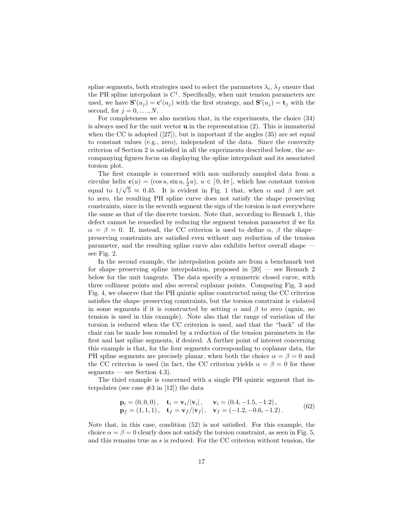spline segments, both strategies used to select the parameters  $\lambda_i$ ,  $\lambda_f$  ensure that the PH spline interpolant is  $C<sup>1</sup>$ . Specifically, when unit tension parameters are used, we have  $\mathbf{S}'(u_j) = \mathbf{c}'(u_j)$  with the first strategy, and  $\mathbf{S}'(u_j) = \mathbf{t}_j$  with the second, for  $j = 0, \ldots, N$ .

For completeness we also mention that, in the experiments, the choice (34) is always used for the unit vector  $\bf{u}$  in the representation (2). This is immaterial when the CC is adopted  $([27])$ , but is important if the angles  $(35)$  are set equal to constant values (e.g., zero), independent of the data. Since the convexity criterion of Section 2 is satisfied in all the experiments described below, the accompanying figures focus on displaying the spline interpolant and its associated torsion plot.

The first example is concerned with non–uniformly sampled data from a circular helix  $\mathbf{c}(u) = (\cos u, \sin u, \frac{1}{2}u), u \in [0, 4\pi],$  which has constant torsion equal to  $1/\sqrt{5} \approx 0.45$ . It is evident in Fig. 1 that, when  $\alpha$  and  $\beta$  are set to zero, the resulting PH spline curve does not satisfy the shape–preserving constraints, since in the seventh segment the sign of the torsion is not everywhere the same as that of the discrete torsion. Note that, according to Remark 1, this defect cannot be remedied by reducing the segment tension parameter if we fix  $\alpha = \beta = 0$ . If, instead, the CC criterion is used to define  $\alpha$ ,  $\beta$  the shapepreserving constraints are satisfied even without any reduction of the tension parameter, and the resulting spline curve also exhibits better overall shape see Fig. 2.

In the second example, the interpolation points are from a benchmark test for shape–preserving spline interpolation, proposed in  $[20]$  — see Remark 2 below for the unit tangents. The data specify a symmetric closed curve, with three collinear points and also several coplanar points. Comparing Fig. 3 and Fig. 4, we observe that the PH quintic spline constructed using the CC criterion satisfies the shape–preserving constraints, but the torsion constraint is violated in some segments if it is constructed by setting  $\alpha$  and  $\beta$  to zero (again, no tension is used in this example). Note also that the range of variation of the torsion is reduced when the CC criterion is used, and that the "back" of the chair can be made less rounded by a reduction of the tension parameters in the first and last spline segments, if desired. A further point of interest concerning this example is that, for the four segments corresponding to coplanar data, the PH spline segments are precisely planar, when both the choice  $\alpha = \beta = 0$  and the CC criterion is used (in fact, the CC criterion yields  $\alpha = \beta = 0$  for these segments — see Section 4.3).

The third example is concerned with a single PH quintic segment that interpolates (see case  $#3$  in [12]) the data

$$
\mathbf{p}_{i} = (0, 0, 0), \quad \mathbf{t}_{i} = \mathbf{v}_{i}/|\mathbf{v}_{i}|, \quad \mathbf{v}_{i} = (0.4, -1.5, -1.2), \n\mathbf{p}_{f} = (1, 1, 1), \quad \mathbf{t}_{f} = \mathbf{v}_{f}/|\mathbf{v}_{f}|, \quad \mathbf{v}_{f} = (-1.2, -0.6, -1.2).
$$
\n(62)

Note that, in this case, condition (52) is not satisfied. For this example, the choice  $\alpha = \beta = 0$  clearly does not satisfy the torsion constraint, as seen in Fig. 5, and this remains true as s is reduced. For the CC criterion without tension, the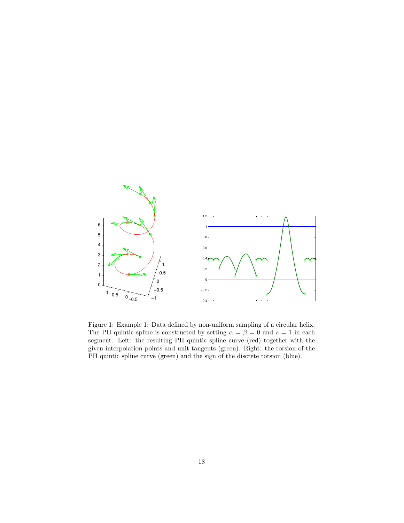

Figure 1: Example 1: Data defined by non-uniform sampling of a circular helix. The PH quintic spline is constructed by setting  $\alpha = \beta = 0$  and  $s = 1$  in each segment. Left: the resulting PH quintic spline curve (red) together with the given interpolation points and unit tangents (green). Right: the torsion of the PH quintic spline curve (green) and the sign of the discrete torsion (blue).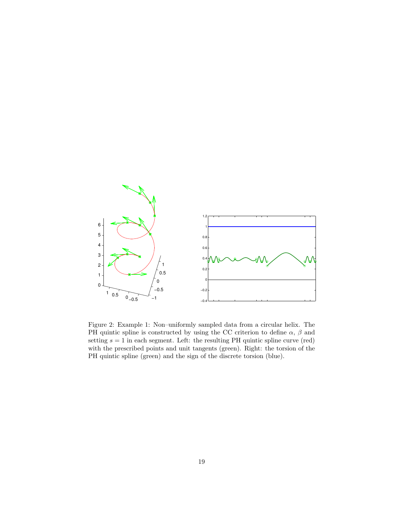

Figure 2: Example 1: Non–uniformly sampled data from a circular helix. The PH quintic spline is constructed by using the CC criterion to define  $\alpha$ ,  $\beta$  and setting  $s = 1$  in each segment. Left: the resulting PH quintic spline curve (red) with the prescribed points and unit tangents (green). Right: the torsion of the PH quintic spline (green) and the sign of the discrete torsion (blue).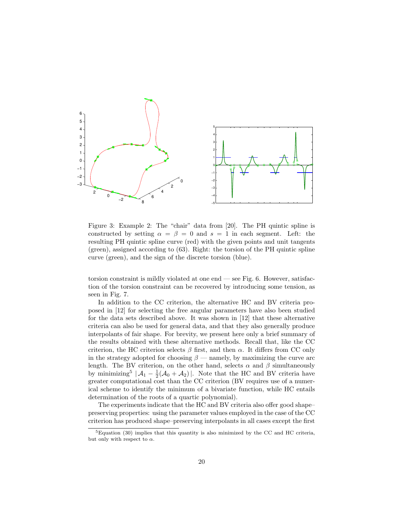

Figure 3: Example 2: The "chair" data from [20]. The PH quintic spline is constructed by setting  $\alpha = \beta = 0$  and  $s = 1$  in each segment. Left: the resulting PH quintic spline curve (red) with the given points and unit tangents (green), assigned according to (63). Right: the torsion of the PH quintic spline curve (green), and the sign of the discrete torsion (blue).

torsion constraint is mildly violated at one end — see Fig. 6. However, satisfaction of the torsion constraint can be recovered by introducing some tension, as seen in Fig. 7.

In addition to the CC criterion, the alternative HC and BV criteria proposed in [12] for selecting the free angular parameters have also been studied for the data sets described above. It was shown in [12] that these alternative criteria can also be used for general data, and that they also generally produce interpolants of fair shape. For brevity, we present here only a brief summary of the results obtained with these alternative methods. Recall that, like the CC criterion, the HC criterion selects  $\beta$  first, and then  $\alpha$ . It differs from CC only in the strategy adopted for choosing  $\beta$  — namely, by maximizing the curve arc length. The BV criterion, on the other hand, selects  $\alpha$  and  $\beta$  simultaneously by minimizing<sup>5</sup>  $|\mathcal{A}_1 - \frac{1}{2}(\mathcal{A}_0 + \mathcal{A}_2)|$ . Note that the HC and BV criteria have greater computational cost than the CC criterion (BV requires use of a numerical scheme to identify the minimum of a bivariate function, while HC entails determination of the roots of a quartic polynomial).

The experiments indicate that the HC and BV criteria also offer good shape– preserving properties: using the parameter values employed in the case of the CC criterion has produced shape–preserving interpolants in all cases except the first

<sup>5</sup>Equation (30) implies that this quantity is also minimized by the CC and HC criteria, but only with respect to  $\alpha$ .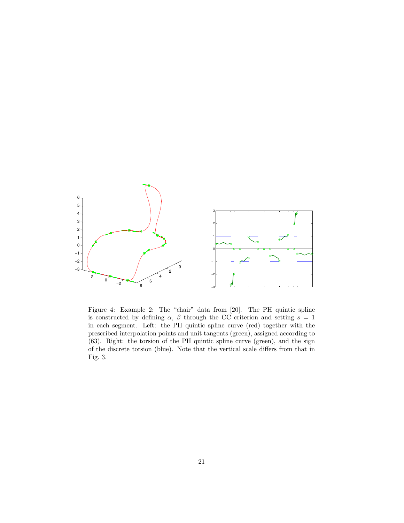

Figure 4: Example 2: The "chair" data from [20]. The PH quintic spline is constructed by defining  $\alpha$ ,  $\beta$  through the CC criterion and setting  $s = 1$ in each segment. Left: the PH quintic spline curve (red) together with the prescribed interpolation points and unit tangents (green), assigned according to (63). Right: the torsion of the PH quintic spline curve (green), and the sign of the discrete torsion (blue). Note that the vertical scale differs from that in Fig. 3.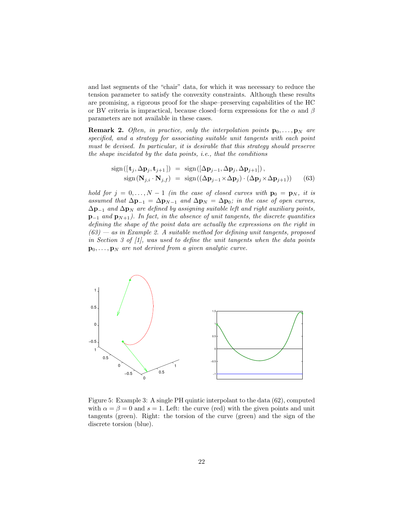and last segments of the "chair" data, for which it was necessary to reduce the tension parameter to satisfy the convexity constraints. Although these results are promising, a rigorous proof for the shape–preserving capabilities of the HC or BV criteria is impractical, because closed–form expressions for the  $\alpha$  and  $\beta$ parameters are not available in these cases.

**Remark 2.** Often, in practice, only the interpolation points  $\mathbf{p}_0, \ldots, \mathbf{p}_N$  are specified, and a strategy for associating suitable unit tangents with each point must be devised. In particular, it is desirable that this strategy should preserve the shape incidated by the data points, i.e., that the conditions

sign([
$$
\mathbf{t}_j, \Delta \mathbf{p}_j, \mathbf{t}_{j+1}
$$
]) = sign([ $\Delta \mathbf{p}_{j-1}, \Delta \mathbf{p}_j, \Delta \mathbf{p}_{j+1}$ ]),  
sign( $\mathbf{N}_{j,i} \cdot \mathbf{N}_{j,f}$ ) = sign(( $\Delta \mathbf{p}_{j-1} \times \Delta \mathbf{p}_j) \cdot (\Delta \mathbf{p}_j \times \Delta \mathbf{p}_{j+1})$ ) (63)

hold for  $j = 0, ..., N - 1$  (in the case of closed curves with  $\mathbf{p}_0 = \mathbf{p}_N$ , it is assumed that  $\Delta \mathbf{p}_{-1} = \Delta \mathbf{p}_{N-1}$  and  $\Delta \mathbf{p}_N = \Delta \mathbf{p}_0$ ; in the case of open curves,  $\Delta p_{-1}$  and  $\Delta p_N$  are defined by assigning suitable left and right auxiliary points,  $p_{-1}$  and  $p_{N+1}$ ). In fact, in the absence of unit tangents, the discrete quantities defining the shape of the point data are actually the expressions on the right in  $(63)$  — as in Example 2. A suitable method for defining unit tangents, proposed in Section 3 of [1], was used to define the unit tangents when the data points  $\mathbf{p}_0, \ldots, \mathbf{p}_N$  are not derived from a given analytic curve.



Figure 5: Example 3: A single PH quintic interpolant to the data (62), computed with  $\alpha = \beta = 0$  and  $s = 1$ . Left: the curve (red) with the given points and unit tangents (green). Right: the torsion of the curve (green) and the sign of the discrete torsion (blue).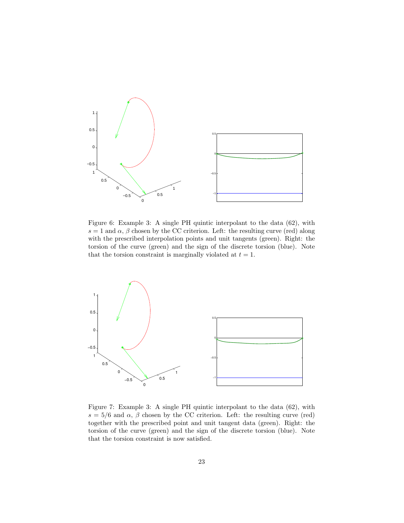

Figure 6: Example 3: A single PH quintic interpolant to the data (62), with  $s = 1$  and  $\alpha$ ,  $\beta$  chosen by the CC criterion. Left: the resulting curve (red) along with the prescribed interpolation points and unit tangents (green). Right: the torsion of the curve (green) and the sign of the discrete torsion (blue). Note that the torsion constraint is marginally violated at  $t = 1$ .



Figure 7: Example 3: A single PH quintic interpolant to the data (62), with  $s = 5/6$  and  $\alpha$ ,  $\beta$  chosen by the CC criterion. Left: the resulting curve (red) together with the prescribed point and unit tangent data (green). Right: the torsion of the curve (green) and the sign of the discrete torsion (blue). Note that the torsion constraint is now satisfied.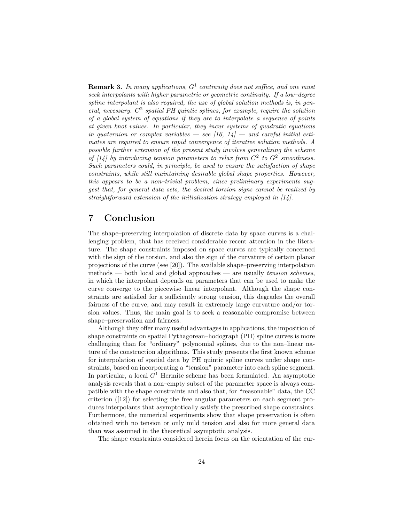**Remark 3.** In many applications,  $G^1$  continuity does not suffice, and one must seek interpolants with higher parametric or geometric continuity. If a low–degree spline interpolant is also required, the use of global solution methods is, in general, necessary.  $C^2$  spatial PH quintic splines, for example, require the solution of a global system of equations if they are to interpolate a sequence of points at given knot values. In particular, they incur systems of quadratic equations in quaternion or complex variables  $-$  see [16, 14]  $-$  and careful initial estimates are required to ensure rapid convergence of iterative solution methods. A possible further extension of the present study involves generalizing the scheme of [14] by introducing tension parameters to relax from  $C^2$  to  $G^2$  smoothness. Such parameters could, in principle, be used to ensure the satisfaction of shape constraints, while still maintaining desirable global shape properties. However, this appears to be a non–trivial problem, since preliminary experiments suggest that, for general data sets, the desired torsion signs cannot be realized by straightforward extension of the initialization strategy employed in [14].

## 7 Conclusion

The shape–preserving interpolation of discrete data by space curves is a challenging problem, that has received considerable recent attention in the literature. The shape constraints imposed on space curves are typically concerned with the sign of the torsion, and also the sign of the curvature of certain planar projections of the curve (see [20]). The available shape–preserving interpolation methods — both local and global approaches — are usually tension schemes, in which the interpolant depends on parameters that can be used to make the curve converge to the piecewise–linear interpolant. Although the shape constraints are satisfied for a sufficiently strong tension, this degrades the overall fairness of the curve, and may result in extremely large curvature and/or torsion values. Thus, the main goal is to seek a reasonable compromise between shape–preservation and fairness.

Although they offer many useful advantages in applications, the imposition of shape constraints on spatial Pythagorean–hodograph (PH) spline curves is more challenging than for "ordinary" polynomial splines, due to the non–linear nature of the construction algorithms. This study presents the first known scheme for interpolation of spatial data by PH quintic spline curves under shape constraints, based on incorporating a "tension" parameter into each spline segment. In particular, a local  $G<sup>1</sup>$  Hermite scheme has been formulated. An asymptotic analysis reveals that a non–empty subset of the parameter space is always compatible with the shape constraints and also that, for "reasonable" data, the CC criterion ([12]) for selecting the free angular parameters on each segment produces interpolants that asymptotically satisfy the prescribed shape constraints. Furthermore, the numerical experiments show that shape preservation is often obtained with no tension or only mild tension and also for more general data than was assumed in the theoretical asymptotic analysis.

The shape constraints considered herein focus on the orientation of the cur-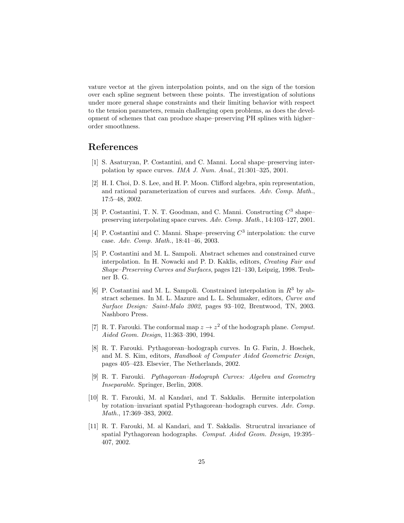vature vector at the given interpolation points, and on the sign of the torsion over each spline segment between these points. The investigation of solutions under more general shape constraints and their limiting behavior with respect to the tension parameters, remain challenging open problems, as does the development of schemes that can produce shape–preserving PH splines with higher– order smoothness.

### References

- [1] S. Asaturyan, P. Costantini, and C. Manni. Local shape–preserving interpolation by space curves. IMA J. Num. Anal., 21:301–325, 2001.
- [2] H. I. Choi, D. S. Lee, and H. P. Moon. Clifford algebra, spin representation, and rational parameterization of curves and surfaces. Adv. Comp. Math., 17:5–48, 2002.
- [3] P. Costantini, T. N. T. Goodman, and C. Manni. Constructing  $C^3$  shapepreserving interpolating space curves. Adv. Comp. Math., 14:103–127, 2001.
- [4] P. Costantini and C. Manni. Shape–preserving  $C^3$  interpolation: the curve case. Adv. Comp. Math., 18:41–46, 2003.
- [5] P. Costantini and M. L. Sampoli. Abstract schemes and constrained curve interpolation. In H. Nowacki and P. D. Kaklis, editors, Creating Fair and Shape–Preserving Curves and Surfaces, pages 121–130, Leipzig, 1998. Teubner B. G.
- [6] P. Costantini and M. L. Sampoli. Constrained interpolation in  $R^3$  by abstract schemes. In M. L. Mazure and L. L. Schumaker, editors, Curve and Surface Design: Saint-Malo 2002, pages 93–102, Brentwood, TN, 2003. Nashboro Press.
- [7] R. T. Farouki. The conformal map  $z \to z^2$  of the hodograph plane. Comput. Aided Geom. Design, 11:363–390, 1994.
- [8] R. T. Farouki. Pythagorean–hodograph curves. In G. Farin, J. Hoschek, and M. S. Kim, editors, Handbook of Computer Aided Geometric Design, pages 405–423. Elsevier, The Netherlands, 2002.
- [9] R. T. Farouki. Pythagorean–Hodograph Curves: Algebra and Geometry Inseparable. Springer, Berlin, 2008.
- [10] R. T. Farouki, M. al Kandari, and T. Sakkalis. Hermite interpolation by rotation–invariant spatial Pythagorean–hodograph curves. Adv. Comp. Math., 17:369–383, 2002.
- [11] R. T. Farouki, M. al Kandari, and T. Sakkalis. Strucutral invariance of spatial Pythagorean hodographs. Comput. Aided Geom. Design, 19:395– 407, 2002.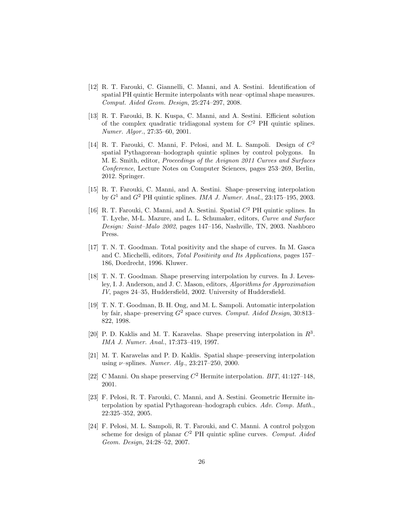- [12] R. T. Farouki, C. Giannelli, C. Manni, and A. Sestini. Identification of spatial PH quintic Hermite interpolants with near–optimal shape measures. Comput. Aided Geom. Design, 25:274–297, 2008.
- [13] R. T. Farouki, B. K. Kuspa, C. Manni, and A. Sestini. Efficient solution of the complex quadratic tridiagonal system for  $C<sup>2</sup>$  PH quintic splines. Numer. Algor., 27:35–60, 2001.
- [14] R. T. Farouki, C. Manni, F. Pelosi, and M. L. Sampoli. Design of  $C^2$ spatial Pythagorean–hodograph quintic splines by control polygons. In M. E. Smith, editor, Proceedings of the Avignon 2011 Curves and Surfaces Conference, Lecture Notes on Computer Sciences, pages 253–269, Berlin, 2012. Springer.
- [15] R. T. Farouki, C. Manni, and A. Sestini. Shape–preserving interpolation by  $G<sup>1</sup>$  and  $G<sup>2</sup>$  PH quintic splines. *IMA J. Numer. Anal.*, 23:175–195, 2003.
- [16] R. T. Farouki, C. Manni, and A. Sestini. Spatial  $C^2$  PH quintic splines. In T. Lyche, M-L. Mazure, and L. L. Schumaker, editors, Curve and Surface Design: Saint–Malo 2002, pages 147–156, Nashville, TN, 2003. Nashboro Press.
- [17] T. N. T. Goodman. Total positivity and the shape of curves. In M. Gasca and C. Micchelli, editors, Total Positivity and Its Applications, pages 157– 186, Dordrecht, 1996. Kluwer.
- [18] T. N. T. Goodman. Shape preserving interpolation by curves. In J. Levesley, I. J. Anderson, and J. C. Mason, editors, Algorithms for Approximation IV, pages 24–35, Huddersfield, 2002. University of Huddersfield.
- [19] T. N. T. Goodman, B. H. Ong, and M. L. Sampoli. Automatic interpolation by fair, shape–preserving  $G^2$  space curves. Comput. Aided Design, 30:813– 822, 1998.
- [20] P. D. Kaklis and M. T. Karavelas. Shape preserving interpolation in  $R^3$ . IMA J. Numer. Anal., 17:373–419, 1997.
- [21] M. T. Karavelas and P. D. Kaklis. Spatial shape–preserving interpolation using  $\nu$ -splines. *Numer. Alg.*, 23:217-250, 2000.
- [22] C Manni. On shape preserving  $C^2$  Hermite interpolation.  $BIT$ , 41:127-148, 2001.
- [23] F. Pelosi, R. T. Farouki, C. Manni, and A. Sestini. Geometric Hermite interpolation by spatial Pythagorean–hodograph cubics. Adv. Comp. Math., 22:325–352, 2005.
- [24] F. Pelosi, M. L. Sampoli, R. T. Farouki, and C. Manni. A control polygon scheme for design of planar  $C^2$  PH quintic spline curves. Comput. Aided Geom. Design, 24:28–52, 2007.